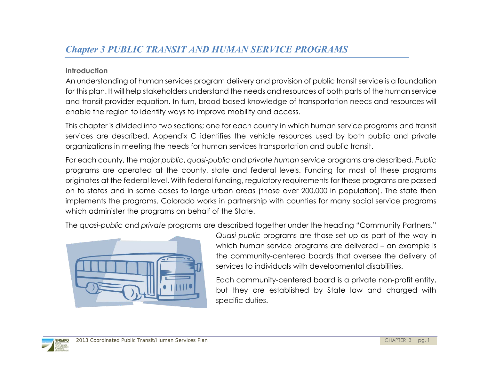# *Chapter 3 PUBLIC TRANSIT AND HUMAN SERVICE PROGRAMS*

#### **Introduction**

An understanding of human services program delivery and provision of public transit service is a foundation for this plan. It will help stakeholders understand the needs and resources of both parts of the human service and transit provider equation. In turn, broad based knowledge of transportation needs and resources will enable the region to identify ways to improve mobility and access.

This chapter is divided into two sections; one for each county in which human service programs and transit services are described. Appendix C identifies the vehicle resources used by both public and private organizations in meeting the needs for human services transportation and public transit.

For each county, the major *public*, *quasi-public* and *private human service* programs are described. *Public* programs are operated at the county, state and federal levels. Funding for most of these programs originates at the federal level. With federal funding, regulatory requirements for these programs are passed on to states and in some cases to large urban areas (those over 200,000 in population). The state then implements the programs. Colorado works in partnership with counties for many social service programs which administer the programs on behalf of the State.

The *quasi-public* and *private* programs are described together under the heading "Community Partners."



*Quasi-public* programs are those set up as part of the way in which human service programs are delivered – an example is the community-centered boards that oversee the delivery of services to individuals with developmental disabilities.

Each community-centered board is a private non-profit entity, but they are established by State law and charged with specific duties.

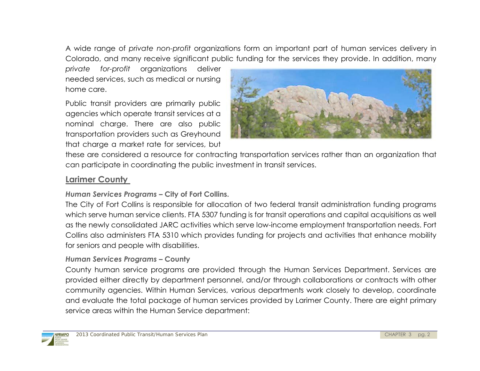A wide range of *private non-profit* organizations form an important part of human services delivery in Colorado, and many receive significant public funding for the services they provide. In addition, many

*private for-profit* organizations deliver needed services, such as medical or nursing home care.

Public transit providers are primarily public agencies which operate transit services at a nominal charge. There are also public transportation providers such as Greyhound that charge a market rate for services, but



these are considered a resource for contracting transportation services rather than an organization that can participate in coordinating the public investment in transit services.

# **Larimer County**

# *Human Services Programs –* **City of Fort Collins.**

The City of Fort Collins is responsible for allocation of two federal transit administration funding programs which serve human service clients. FTA 5307 funding is for transit operations and capital acquisitions as well as the newly consolidated JARC activities which serve low-income employment transportation needs. Fort Collins also administers FTA 5310 which provides funding for projects and activities that enhance mobility for seniors and people with disabilities.

# *Human Services Programs –* **County**

County human service programs are provided through the Human Services Department. Services are provided either directly by department personnel, and/or through collaborations or contracts with other community agencies. Within Human Services, various departments work closely to develop, coordinate and evaluate the total package of human services provided by Larimer County. There are eight primary service areas within the Human Service department:

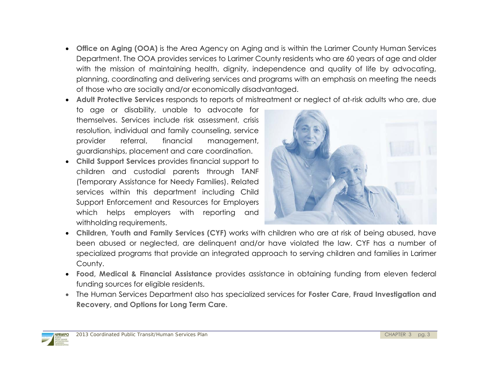- **Office on Aging (OOA)** is the Area Agency on Aging and is within the Larimer County Human Services Department. The OOA provides services to Larimer County residents who are 60 years of age and older with the mission of maintaining health, dignity, independence and quality of life by advocating, planning, coordinating and delivering services and programs with an emphasis on meeting the needs of those who are socially and/or economically disadvantaged.
- **Adult Protective Services** responds to reports of mistreatment or neglect of at-risk adults who are, due
- to age or disability, unable to advocate for themselves. Services include risk assessment, crisis resolution, individual and family counseling, service provider referral, financial management, guardianships, placement and care coordination.
- **Child Support Services** provides financial support to children and custodial parents through TANF (Temporary Assistance for Needy Families). Related services within this department including Child Support Enforcement and Resources for Employers which helps employers with reporting and withholding requirements.



- **Children, Youth and Family Services (CYF)** works with children who are at risk of being abused, have been abused or neglected, are delinquent and/or have violated the law. CYF has a number of specialized programs that provide an integrated approach to serving children and families in Larimer County.
- **Food, Medical & Financial Assistance** provides assistance in obtaining funding from eleven federal funding sources for eligible residents.
- The Human Services Department also has specialized services for **Foster Care, Fraud Investigation and Recovery, and Options for Long Term Care.**

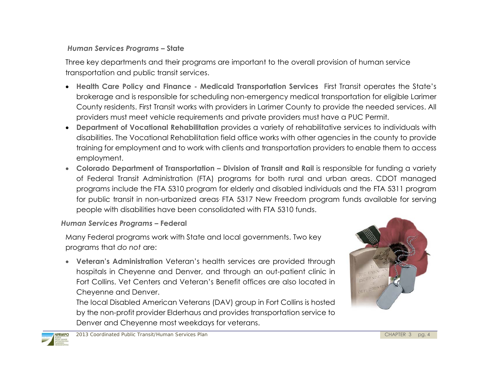# *Human Services Programs –* **State**

Three key departments and their programs are important to the overall provision of human service transportation and public transit services.

- **Health Care Policy and Finance Medicaid Transportation Services** First Transit operates the State's brokerage and is responsible for scheduling non-emergency medical transportation for eligible Larimer County residents. First Transit works with providers in Larimer County to provide the needed services. All providers must meet vehicle requirements and private providers must have a PUC Permit.
- **Department of Vocational Rehabilitation** provides a variety of rehabilitative services to individuals with disabilities. The Vocational Rehabilitation field office works with other agencies in the county to provide training for employment and to work with clients and transportation providers to enable them to access employment.
- **Colorado Department of Transportation – Division of Transit and Rail** is responsible for funding a variety of Federal Transit Administration (FTA) programs for both rural and urban areas. CDOT managed programs include the FTA 5310 program for elderly and disabled individuals and the FTA 5311 program for public transit in non-urbanized areas. FTA 5317 New Freedom program funds available for serving people with disabilities have been consolidated with FTA 5310 funds.

# *Human Services Programs –* **Federal**

Many Federal programs work with State and local governments. Two key programs that *do not* are:

 **Veteran's Administration** Veteran's health services are provided through hospitals in Cheyenne and Denver, and through an out-patient clinic in Fort Collins. Vet Centers and Veteran's Benefit offices are also located in Cheyenne and Denver.

The local Disabled American Veterans (DAV) group in Fort Collins is hosted by the non-profit provider Elderhaus and provides transportation service to Denver and Cheyenne most weekdays for veterans.



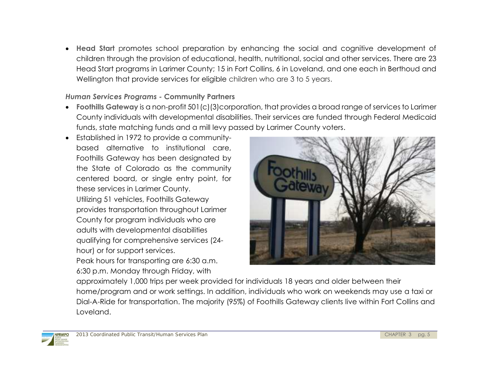**Head Start** promotes school preparation by enhancing the social and cognitive development of children through the provision of educational, health, nutritional, social and other services. There are 23 Head Start programs in Larimer County; 15 in Fort Collins, 6 in Loveland, and one each in Berthoud and Wellington that provide services for eligible children who are 3 to 5 years.

# *Human Services Programs -* **Community Partners**

- **Foothills Gateway** is a non-profit 501(c)(3)corporation, that provides a broad range of services to Larimer County individuals with developmental disabilities. Their services are funded through Federal Medicaid funds, state matching funds and a mill levy passed by Larimer County voters.
- Established in 1972 to provide a communitybased alternative to institutional care, Foothills Gateway has been designated by the State of Colorado as the community centered board, or single entry point, for these services in Larimer County. Utilizing 51 vehicles, Foothills Gateway provides transportation throughout Larimer County for program individuals who are adults with developmental disabilities qualifying for comprehensive services (24 hour) or for support services.

Peak hours for transporting are 6:30 a.m. 6:30 p.m. Monday through Friday, with



approximately 1,000 trips per week provided for individuals 18 years and older between their home/program and or work settings. In addition, individuals who work on weekends may use a taxi or Dial-A-Ride for transportation. The majority (95%) of Foothills Gateway clients live within Fort Collins and Loveland.

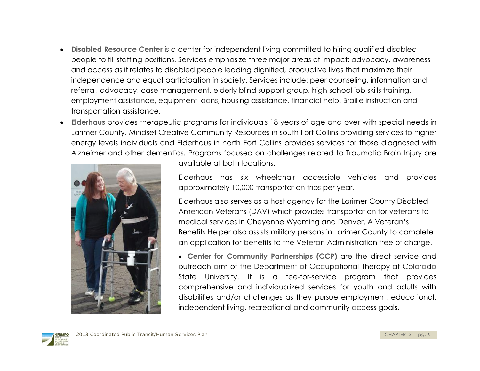- **Disabled Resource Center** is a center for independent living committed to hiring qualified disabled people to fill staffing positions. Services emphasize three major areas of impact: advocacy, awareness and access as it relates to disabled people leading dignified, productive lives that maximize their independence and equal participation in society. Services include: peer counseling, information and referral, advocacy, case management, elderly blind support group, high school job skills training, employment assistance, equipment loans, housing assistance, financial help, Braille instruction and transportation assistance.
- **Elderhaus** provides therapeutic programs for individuals 18 years of age and over with special needs in Larimer County. Mindset Creative Community Resources in south Fort Collins providing services to higher energy levels individuals and Elderhaus in north Fort Collins provides services for those diagnosed with Alzheimer and other dementias. Programs focused on challenges related to Traumatic Brain Injury are



available at both locations.

Elderhaus has six wheelchair accessible vehicles and provides approximately 10,000 transportation trips per year.

Elderhaus also serves as a host agency for the Larimer County Disabled American Veterans (DAV) which provides transportation for veterans to medical services in Cheyenne Wyoming and Denver. A Veteran's Benefits Helper also assists military persons in Larimer County to complete an application for benefits to the Veteran Administration free of charge.

 **Center for Community Partnerships (CCP)** are the direct service and outreach arm of the Department of Occupational Therapy at Colorado State University. It is a fee-for-service program that provides comprehensive and individualized services for youth and adults with disabilities and/or challenges as they pursue employment, educational, independent living, recreational and community access goals.

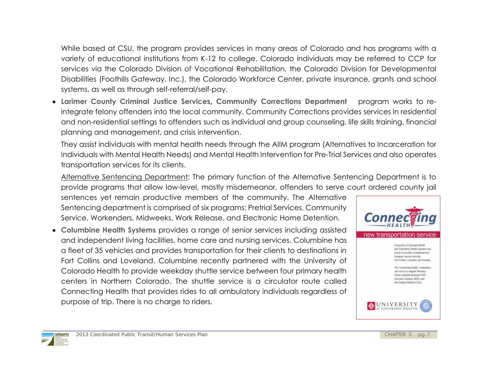While based at CSU, the program provides services in many areas of Colorado and has programs with a variety of educational institutions from K-12 to college. Colorado individuals may be referred to CCP for services via the Colorado Division of Vocational Rehabilitation, the Colorado Division for Developmental Disabilities (Foothills Gateway, Inc.), the Colorado Workforce Center, private insurance, grants and school systems, as well as through self-referral/self-pay.

 **Larimer County Criminal Justice Services, Community Corrections Department** program works to reintegrate felony offenders into the local community. Community Corrections provides services in residential and non-residential settings to offenders such as individual and group counseling, life skills training, financial planning and management, and crisis intervention.

They assist individuals with mental health needs through the AIIM program (Alternatives to Incarceration for Individuals with Mental Health Needs) and Mental Health Intervention for Pre-Trial Services and also operates transportation services for its clients.

Alternative Sentencing Department: The primary function of the Alternative Sentencing Department is to provide programs that allow low-level, mostly misdemeanor, offenders to serve court ordered county jail

sentences yet remain productive members of the community. The Alternative Sentencing department is comprised of six programs: Pretrial Services, Community Service, Workenders, Midweeks, Work Release, and Electronic Home Detention.

 **Columbine Health Systems** provides a range of senior services including assisted and independent living facilities, home care and nursing services. Columbine has a fleet of 35 vehicles and provides transportation for their clients to destinations in Fort Collins and Loveland. Columbine recently partnered with the University of Colorado Health to provide weekday shuttle service between four primary health centers in Northern Colorado. The shuttle service is a circulator route called Connecting Health that provides rides to all ambulatory individuals regardless of purpose of trip. There is no charge to riders.



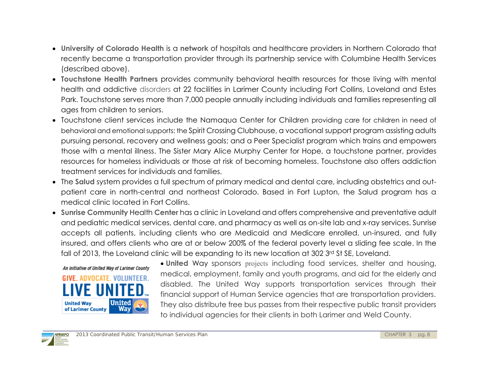- **University of Colorado Health** is a **network** of hospitals and healthcare providers in Northern Colorado that recently became a transportation provider through its partnership service with Columbine Health Services (described above).
- **Touchstone Health Partners** provides community behavioral health resources for those living with mental health and addictive disorders at 22 facilities in Larimer County including Fort Collins, Loveland and Estes Park. Touchstone serves more than 7,000 people annually including individuals and families representing all ages from children to seniors.
- Touchstone client services include the Namaqua Center for Children providing care for children in need of behavioral and emotional supports: the Spirit Crossing Clubhouse, a vocational support program assisting adults pursuing personal, recovery and wellness goals; and a Peer Specialist program which trains and empowers those with a mental illness. The Sister Mary Alice Murphy Center for Hope, a touchstone partner, provides resources for homeless individuals or those at risk of becoming homeless. Touchstone also offers addiction treatment services for individuals and families.
- The **Salud** system provides a full spectrum of primary medical and dental care, including obstetrics and outpatient care in north-central and northeast Colorado. Based in Fort Lupton, the Salud program has a medical clinic located in Fort Collins.
- **Sunrise Community** Health **Center** has a clinic in Loveland and offers comprehensive and preventative adult and pediatric medical services, dental care, and pharmacy as well as on-site lab and x-ray services. Sunrise accepts all patients, including clients who are Medicaid and Medicare enrolled, un-insured, and fully insured, and offers clients who are at or below 200% of the federal poverty level a sliding fee scale. In the fall of 2013, the Loveland clinic will be expanding to its new location at 302 3rd St SE, Loveland.



 **United** Way sponsors projects including food services, shelter and housing, medical, employment, family and youth programs, and aid for the elderly and disabled. The United Way supports transportation services through their financial support of Human Service agencies that are transportation providers. They also distribute free bus passes from their respective public transit providers to individual agencies for their clients in both Larimer and Weld County.

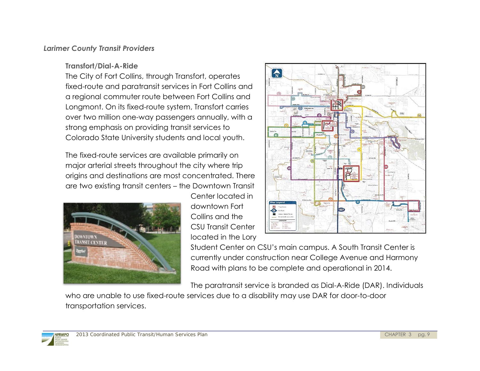#### *Larimer County Transit Providers*

**Transfort/Dial-A-Ride**

The City of Fort Collins, through Transfort, operates fixed-route and paratransit services in Fort Collins and a regional commuter route between Fort Collins and Longmont. On its fixed-route system, Transfort carries over two million one-way passengers annually, with a strong emphasis on providing transit services to Colorado State University students and local youth.

The fixed-route services are available primarily on major arterial streets throughout the city where trip origins and destinations are most concentrated. There are two existing transit centers – the Downtown Transit



Center located in downtown Fort Collins and the CSU Transit Center located in the Lory



Student Center on CSU's main campus. A South Transit Center is currently under construction near College Avenue and Harmony Road with plans to be complete and operational in 2014.

The paratransit service is branded as Dial-A-Ride (DAR). Individuals

who are unable to use fixed-route services due to a disability may use DAR for door-to-door transportation services.

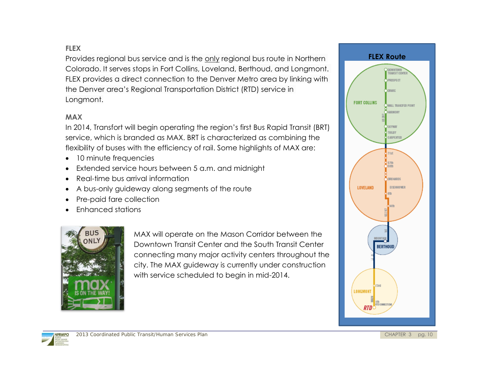# **FLEX**

Provides regional bus service and is the only regional bus route in Northern Colorado. It serves stops in Fort Collins, Loveland, Berthoud, and Longmont. FLEX provides a direct connection to the Denver Metro area by linking with the Denver area's Regional Transportation District (RTD) service in Longmont.

#### **MAX**

In 2014, Transfort will begin operating the region's first Bus Rapid Transit (BRT) service, which is branded as MAX. BRT is characterized as combining the flexibility of buses with the efficiency of rail. Some highlights of MAX are:

- 10 minute frequencies
- Extended service hours between 5 a.m. and midnight
- Real-time bus arrival information
- A bus-only guideway along segments of the route
- Pre-paid fare collection
- Enhanced stations



MAX will operate on the Mason Corridor between the Downtown Transit Center and the South Transit Center connecting many major activity centers throughout the city. The MAX guideway is currently under construction with service scheduled to begin in mid-2014.



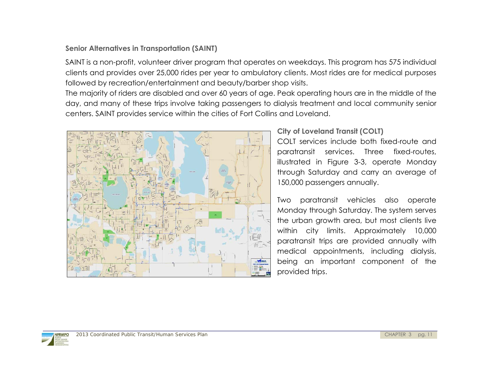# **Senior Alternatives in Transportation (SAINT)**

SAINT is a non-profit, volunteer driver program that operates on weekdays. This program has 575 individual clients and provides over 25,000 rides per year to ambulatory clients. Most rides are for medical purposes followed by recreation/entertainment and beauty/barber shop visits.

The majority of riders are disabled and over 60 years of age. Peak operating hours are in the middle of the day, and many of these trips involve taking passengers to dialysis treatment and local community senior centers. SAINT provides service within the cities of Fort Collins and Loveland.



# **City of Loveland Transit (COLT)**

COLT services include both fixed-route and paratransit services. Three fixed-routes, illustrated in Figure 3-3, operate Monday through Saturday and carry an average of 150,000 passengers annually.

Two paratransit vehicles also operate Monday through Saturday. The system serves the urban growth area, but most clients live within city limits. Approximately 10,000 paratransit trips are provided annually with medical appointments, including dialysis, being an important component of the

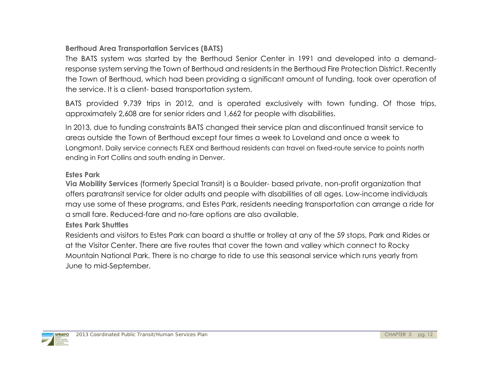# **Berthoud Area Transportation Services (BATS)**

The BATS system was started by the Berthoud Senior Center in 1991 and developed into a demandresponse system serving the Town of Berthoud and residents in the Berthoud Fire Protection District. Recently the Town of Berthoud, which had been providing a significant amount of funding, took over operation of the service. It is a client- based transportation system.

BATS provided 9,739 trips in 2012, and is operated exclusively with town funding. Of those trips, approximately 2,608 are for senior riders and 1,662 for people with disabilities.

In 2013, due to funding constraints BATS changed their service plan and discontinued transit service to areas outside the Town of Berthoud except four times a week to Loveland and once a week to Longmont. Daily service connects FLEX and Berthoud residents can travel on fixed-route service to points north ending in Fort Collins and south ending in Denver.

# **Estes Park**

**Via Mobility Services** (formerly Special Transit) is a Boulder- based private, non-profit organization that offers paratransit service for older adults and people with disabilities of all ages. Low-income individuals may use some of these programs, and Estes Park, residents needing transportation can arrange a ride for a small fare. Reduced-fare and no-fare options are also available.

# **Estes Park Shuttles**

Residents and visitors to Estes Park can board a shuttle or trolley at any of the 59 stops, Park and Rides or at the Visitor Center. There are five routes that cover the town and valley which connect to Rocky Mountain National Park. There is no charge to ride to use this seasonal service which runs yearly from June to mid-September.

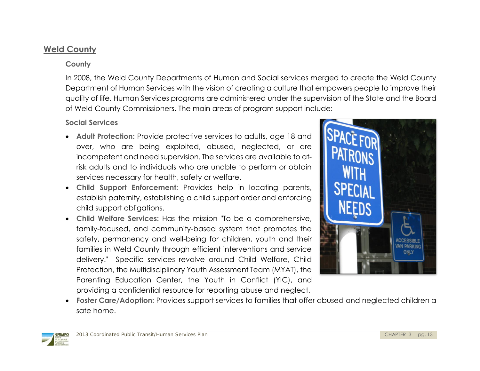# **Weld County**

## **County**

In 2008, the Weld County Departments of Human and Social services merged to create the Weld County Department of Human Services with the vision of creating a culture that empowers people to improve their quality of life. Human Services programs are administered under the supervision of the State and the Board of Weld County Commissioners. The main areas of program support include:

#### **Social Services**

- **Adult Protection:** Provide protective services to adults, age 18 and over, who are being exploited, abused, neglected, or are incompetent and need supervision. The services are available to atrisk adults and to individuals who are unable to perform or obtain services necessary for health, safety or welfare.
- **Child Support Enforcement:** Provides help in locating parents, establish paternity, establishing a child support order and enforcing child support obligations.
- **Child Welfare Services:** Has the mission "To be a comprehensive, family-focused, and community-based system that promotes the safety, permanency and well-being for children, youth and their families in Weld County through efficient interventions and service delivery." Specific services revolve around Child Welfare, Child Protection, the Multidisciplinary Youth Assessment Team (MYAT), the Parenting Education Center, the Youth in Conflict (YIC), and providing a confidential resource for reporting abuse and neglect.



 **Foster Care/Adoption:** Provides support services to families that offer abused and neglected children a safe home.

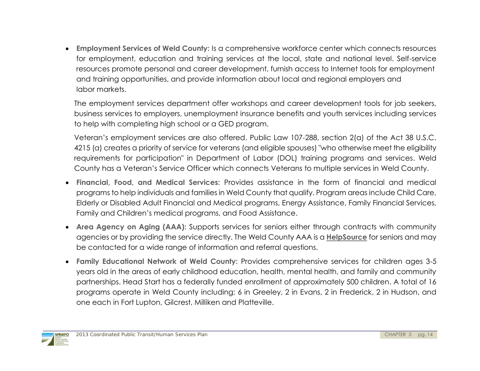**Employment Services of Weld County:** Is a comprehensive workforce center which connects resources for employment, education and training services at the local, state and national level. Self-service resources promote personal and career development, furnish access to Internet tools for employment and training opportunities, and provide information about local and regional employers and labor markets.

The employment services department offer workshops and career development tools for job seekers, business services to employers, unemployment insurance benefits and youth services including services to help with completing high school or a GED program.

Veteran's employment services are also offered. Public Law 107-288, section 2(a) of the Act 38 U.S.C. 4215 (a) creates a priority of service for veterans (and eligible spouses) "who otherwise meet the eligibility requirements for participation" in Department of Labor (DOL) training programs and services. Weld County has a Veteran's Service Officer which connects Veterans to multiple services in Weld County.

- **Financial, Food, and Medical Services:** Provides assistance in the form of financial and medical programs to help individuals and families in Weld County that qualify. Program areas include Child Care, Elderly or Disabled Adult Financial and Medical programs, Energy Assistance, Family Financial Services, Family and Children's medical programs, and Food Assistance.
- **Area Agency on Aging (AAA):** Supports services for seniors either through contracts with community agencies or by providing the service directly. The Weld County AAA is a **[HelpSource](https://www.co.weld.co.us/assets/15415b88C54AD497adA9.pdf)** for seniors and may be contacted for a wide range of information and referral questions.
- **Family Educational Network of Weld County:** Provides comprehensive services for children ages 3-5 years old in the areas of early childhood education, health, mental health, and family and community partnerships. Head Start has a federally funded enrollment of approximately 500 children. A total of 16 programs operate in Weld County including; 6 in Greeley, 2 in Evans, 2 in Frederick, 2 in Hudson, and one each in Fort Lupton, Gilcrest, Milliken and Platteville.

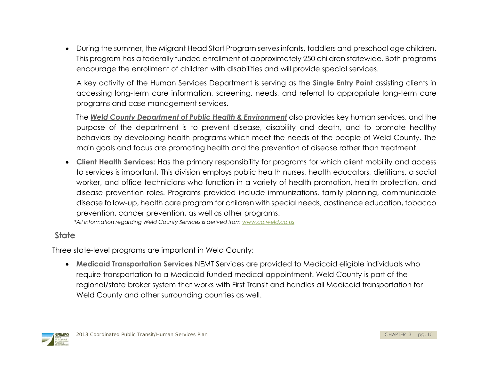During the summer, the Migrant Head Start Program serves infants, toddlers and preschool age children. This program has a federally funded enrollment of approximately 250 children statewide. Both programs encourage the enrollment of children with disabilities and will provide special services.

A key activity of the Human Services Department is serving as the **Single Entry Point** assisting clients in accessing long-term care information, screening, needs, and referral to appropriate long-term care programs and case management services.

The *Weld County Department of Public Health & Environment* also provides key human services, and the purpose of the department is to prevent disease, disability and death, and to promote healthy behaviors by developing health programs which meet the needs of the people of Weld County. The main goals and focus are promoting health and the prevention of disease rather than treatment.

 **Client Health Services:** Has the primary responsibility for programs for which client mobility and access to services is important. This division employs public health nurses, health educators, dietitians, a social worker, and office technicians who function in a variety of health promotion, health protection, and disease prevention roles. Programs provided include immunizations, family planning, communicable disease follow-up, health care program for children with special needs, abstinence education, tobacco prevention, cancer prevention, as well as other programs. *\*All information regarding Weld County Services is derived fro[m www.co.weld.co.us](http://www.co.weld.co.us/)*

 **State** 

Three state-level programs are important in Weld County:

 **Medicaid Transportation Services** NEMT Services are provided to Medicaid eligible individuals who require transportation to a Medicaid funded medical appointment. Weld County is part of the regional/state broker system that works with First Transit and handles all Medicaid transportation for Weld County and other surrounding counties as well.

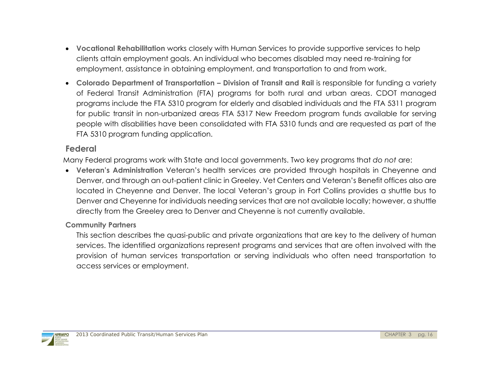- **Vocational Rehabilitation** works closely with Human Services to provide supportive services to help clients attain employment goals. An individual who becomes disabled may need re-training for employment, assistance in obtaining employment, and transportation to and from work.
- **Colorado Department of Transportation Division of Transit and Rail is responsible for funding a variety** of Federal Transit Administration (FTA) programs for both rural and urban areas. CDOT managed programs include the FTA 5310 program for elderly and disabled individuals and the FTA 5311 program for public transit in non-urbanized areas. FTA 5317 New Freedom program funds available for serving people with disabilities have been consolidated with FTA 5310 funds and are requested as part of the FTA 5310 program funding application.

# **Federal**

Many Federal programs work with State and local governments. Two key programs that *do not* are:

 **Veteran's Administration** Veteran's health services are provided through hospitals in Cheyenne and Denver, and through an out-patient clinic in Greeley. Vet Centers and Veteran's Benefit offices also are located in Cheyenne and Denver. The local Veteran's group in Fort Collins provides a shuttle bus to Denver and Cheyenne for individuals needing services that are not available locally; however, a shuttle directly from the Greeley area to Denver and Cheyenne is not currently available.

# **Community Partners**

This section describes the quasi-public and private organizations that are key to the delivery of human services. The identified organizations represent programs and services that are often involved with the provision of human services transportation or serving individuals who often need transportation to access services or employment.

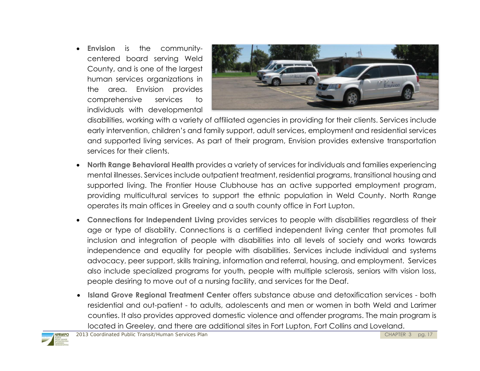**Envision** is the communitycentered board serving Weld County, and is one of the largest human services organizations in the area. Envision provides comprehensive services to individuals with developmental



disabilities, working with a variety of affiliated agencies in providing for their clients. Services include early intervention, children's and family support, adult services, employment and residential services and supported living services. As part of their program, Envision provides extensive transportation services for their clients.

- **North Range Behavioral Health** provides a variety of services for individuals and families experiencing mental illnesses. Services include outpatient treatment, residential programs, transitional housing and supported living. The Frontier House Clubhouse has an active supported employment program, providing multicultural services to support the ethnic population in Weld County. North Range operates its main offices in Greeley and a south county office in Fort Lupton.
- **Connections for Independent Living** provides services to people with disabilities regardless of their age or type of disability. Connections is a certified independent living center that promotes full inclusion and integration of people with disabilities into all levels of society and works towards independence and equality for people with disabilities. Services include individual and systems advocacy, peer support, skills training, information and referral, housing, and employment. Services also include specialized programs for youth, people with multiple sclerosis, seniors with vision loss, people desiring to move out of a nursing facility, and services for the Deaf.
- **Island Grove Regional Treatment Center** offers substance abuse and detoxification services both residential and out-patient - to adults, adolescents and men or women in both Weld and Larimer counties. It also provides approved domestic violence and offender programs. The main program is located in Greeley, and there are additional sites in Fort Lupton, Fort Collins and Loveland.

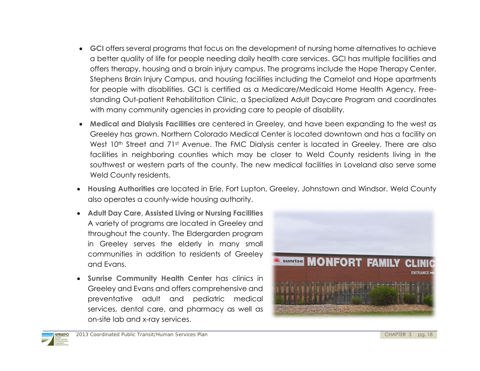- **GCI** offers several programs that focus on the development of nursing home alternatives to achieve a better quality of life for people needing daily health care services. GCI has multiple facilities and offers therapy, housing and a brain injury campus. The programs include the Hope Therapy Center, Stephens Brain Injury Campus, and housing facilities including the Camelot and Hope apartments for people with disabilities. GCI is certified as a Medicare/Medicaid Home Health Agency, Freestanding Out-patient Rehabilitation Clinic, a Specialized Adult Daycare Program and coordinates with many community agencies in providing care to people of disability.
- **Medical and Dialysis Facilities** are centered in Greeley, and have been expanding to the west as Greeley has grown. Northern Colorado Medical Center is located downtown and has a facility on West 10<sup>th</sup> Street and 71<sup>st</sup> Avenue. The FMC Dialysis center is located in Greeley. There are also facilities in neighboring counties which may be closer to Weld County residents living in the southwest or western parts of the county. The new medical facilities in Loveland also serve some Weld County residents.
- **Housing Authorities** are located in Erie, Fort Lupton, Greeley, Johnstown and Windsor. Weld County also operates a county-wide housing authority.
- **Adult Day Care, Assisted Living or Nursing Facilities**  A variety of programs are located in Greeley and throughout the county. The Eldergarden program in Greeley serves the elderly in many small communities in addition to residents of Greeley and Evans.
- **Sunrise Community Health Center** has clinics in Greeley and Evans and offers comprehensive and preventative adult and pediatric medical services, dental care, and pharmacy as well as on-site lab and x-ray services.



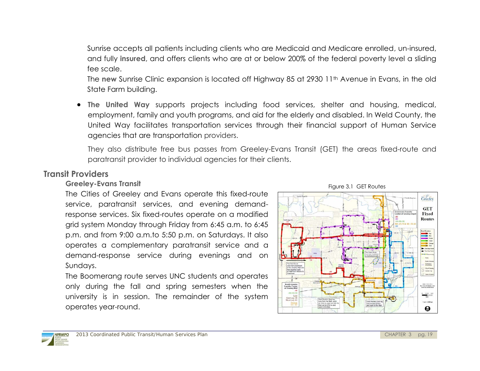Sunrise accepts all patients including clients who are Medicaid and Medicare enrolled, un-insured, and fully **insured**, and offers clients who are at or below 200% of the federal poverty level a sliding fee scale.

The **new** Sunrise Clinic expansion is located off Highway 85 at 2930 11<sup>th</sup> Avenue in Evans, in the old State Farm building.

 **The United Way** supports projects including food services, shelter and housing, medical, employment, family and youth programs, and aid for the elderly and disabled. In Weld County, the United Way facilitates transportation services through their financial support of Human Service agencies that are transportation providers.

They also distribute free bus passes from Greeley-Evans Transit (GET) the areas fixed-route and paratransit provider to individual agencies for their clients.

# **Transit Providers**

# **Greeley-Evans Transit**

The Cities of Greeley and Evans operate this fixed-route service, paratransit services, and evening demandresponse services. Six fixed-routes operate on a modified grid system Monday through Friday from 6:45 a.m. to 6:45 p.m. and from 9:00 a.m.to 5:50 p.m. on Saturdays. It also operates a complementary paratransit service and a demand-response service during evenings and on Sundays.

The Boomerang route serves UNC students and operates only during the fall and spring semesters when the university is in session. The remainder of the system operates year-round.